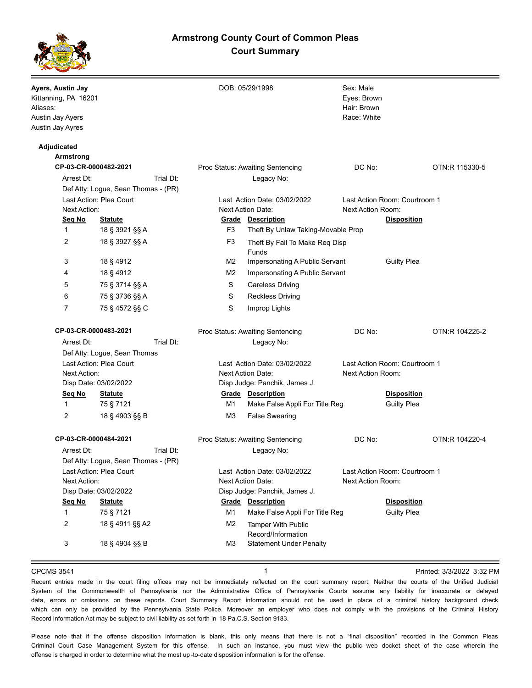# **Armstrong County Court of Common Pleas Court Summary**



| Ayers, Austin Jay<br>Kittanning, PA 16201<br>Aliases:<br>Austin Jay Ayers<br>Austin Jay Ayres |                                     |           |                                                          | DOB: 05/29/1998                                            | Sex: Male<br>Eyes: Brown<br>Hair: Brown<br>Race: White                   |                                          |                |
|-----------------------------------------------------------------------------------------------|-------------------------------------|-----------|----------------------------------------------------------|------------------------------------------------------------|--------------------------------------------------------------------------|------------------------------------------|----------------|
| Adjudicated                                                                                   |                                     |           |                                                          |                                                            |                                                                          |                                          |                |
| <b>Armstrong</b>                                                                              |                                     |           |                                                          |                                                            | DC No:                                                                   |                                          | OTN:R 115330-5 |
| CP-03-CR-0000482-2021<br>Arrest Dt:                                                           |                                     | Trial Dt: | Proc Status: Awaiting Sentencing<br>Legacy No:           |                                                            |                                                                          |                                          |                |
|                                                                                               |                                     |           |                                                          |                                                            |                                                                          |                                          |                |
| Def Atty: Logue, Sean Thomas - (PR)<br>Last Action: Plea Court<br>Next Action:                |                                     |           | Last Action Date: 03/02/2022<br>Next Action Date:        |                                                            | Last Action Room: Courtroom 1<br>Next Action Room:<br><b>Disposition</b> |                                          |                |
| Seg No<br><b>Statute</b>                                                                      |                                     |           | <b>Grade Description</b>                                 |                                                            |                                                                          |                                          |                |
| $\mathbf{1}$                                                                                  | 18 § 3921 §§ A                      |           | F3                                                       | Theft By Unlaw Taking-Movable Prop                         |                                                                          |                                          |                |
| 2                                                                                             | 18 § 3927 §§ A                      |           | F <sub>3</sub>                                           | Theft By Fail To Make Req Disp                             |                                                                          |                                          |                |
|                                                                                               |                                     |           |                                                          | Funds                                                      |                                                                          |                                          |                |
| 3                                                                                             | 18 § 4912                           |           | M <sub>2</sub>                                           | Impersonating A Public Servant                             |                                                                          | <b>Guilty Plea</b>                       |                |
| 4                                                                                             | 18 § 4912                           |           | M <sub>2</sub>                                           | Impersonating A Public Servant                             |                                                                          |                                          |                |
| 5                                                                                             | 75 § 3714 §§ A                      |           | S                                                        | <b>Careless Driving</b>                                    |                                                                          |                                          |                |
| 6                                                                                             | 75 § 3736 §§ A                      |           | S                                                        | <b>Reckless Driving</b>                                    |                                                                          |                                          |                |
| 7                                                                                             | 75 § 4572 §§ C                      |           | S                                                        | Improp Lights                                              |                                                                          |                                          |                |
| CP-03-CR-0000483-2021                                                                         |                                     |           | Proc Status: Awaiting Sentencing                         |                                                            | DC No:                                                                   |                                          | OTN:R 104225-2 |
| Trial Dt:<br>Arrest Dt:                                                                       |                                     |           |                                                          | Legacy No:                                                 |                                                                          |                                          |                |
|                                                                                               | Def Atty: Logue, Sean Thomas        |           |                                                          |                                                            |                                                                          |                                          |                |
| Last Action: Plea Court<br>Next Action:                                                       |                                     |           | Last Action Date: 03/02/2022<br><b>Next Action Date:</b> |                                                            | Next Action Room:                                                        | Last Action Room: Courtroom 1            |                |
| Disp Date: 03/02/2022                                                                         |                                     |           |                                                          | Disp Judge: Panchik, James J.                              |                                                                          |                                          |                |
| Seq No<br>$\mathbf{1}$                                                                        | <b>Statute</b><br>75 § 7121         |           | M1                                                       | <b>Grade Description</b><br>Make False Appli For Title Reg |                                                                          | <b>Disposition</b><br><b>Guilty Plea</b> |                |
| 2                                                                                             | 18 § 4903 §§ B                      |           | M3                                                       | <b>False Swearing</b>                                      |                                                                          |                                          |                |
| CP-03-CR-0000484-2021                                                                         |                                     |           |                                                          | Proc Status: Awaiting Sentencing                           | DC No:                                                                   |                                          | OTN:R 104220-4 |
| Arrest Dt:                                                                                    |                                     | Trial Dt: |                                                          | Legacy No:                                                 |                                                                          |                                          |                |
|                                                                                               | Def Atty: Logue, Sean Thomas - (PR) |           |                                                          |                                                            |                                                                          |                                          |                |
| Last Action: Plea Court                                                                       |                                     |           | Last Action Date: 03/02/2022                             |                                                            | Last Action Room: Courtroom 1                                            |                                          |                |
| Next Action:                                                                                  |                                     |           | Next Action Date:                                        |                                                            | Next Action Room:                                                        |                                          |                |
| Disp Date: 03/02/2022                                                                         |                                     |           |                                                          | Disp Judge: Panchik, James J.                              |                                                                          |                                          |                |
| Seq No                                                                                        | <b>Statute</b>                      |           | Grade                                                    | <b>Description</b>                                         |                                                                          | <b>Disposition</b>                       |                |
| $\mathbf{1}$                                                                                  | 75 § 7121                           |           | M1                                                       | Make False Appli For Title Reg                             |                                                                          | <b>Guilty Plea</b>                       |                |
| 2                                                                                             | 18 § 4911 §§ A2                     |           | M <sub>2</sub>                                           | <b>Tamper With Public</b><br>Record/Information            |                                                                          |                                          |                |
| 3                                                                                             | 18 § 4904 §§ B                      |           | M <sub>3</sub>                                           | <b>Statement Under Penalty</b>                             |                                                                          |                                          |                |
|                                                                                               |                                     |           |                                                          |                                                            |                                                                          |                                          |                |

CPCMS 3541 **1 1 1 1 1 1 1 Printed: 3/3/2022 3:32 PM** 

Recent entries made in the court filing offices may not be immediately reflected on the court summary report. Neither the courts of the Unified Judicial System of the Commonwealth of Pennsylvania nor the Administrative Office of Pennsylvania Courts assume any liability for inaccurate or delayed data, errors or omissions on these reports. Court Summary Report information should not be used in place of a criminal history background check which can only be provided by the Pennsylvania State Police. Moreover an employer who does not comply with the provisions of the Criminal History Record Information Act may be subject to civil liability as set forth in 18 Pa.C.S. Section 9183.

Please note that if the offense disposition information is blank, this only means that there is not a "final disposition" recorded in the Common Pleas Criminal Court Case Management System for this offense. In such an instance, you must view the public web docket sheet of the case wherein the offense is charged in order to determine what the most up -to-date disposition information is for the offense.